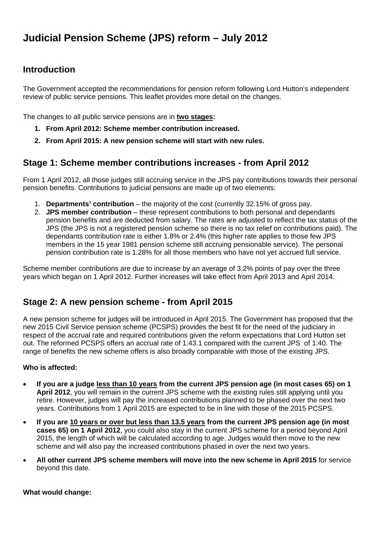### **Introduction**

The Government accepted the recommendations for pension reform following Lord Hutton's independent review of public service pensions. This leaflet provides more detail on the changes.

The changes to all public service pensions are in **two stages:** 

- **1. From April 2012: Scheme member contribution increased.**
- **2. From April 2015: A new pension scheme will start with new rules.**

# **Stage 1: Scheme member contributions increases - from April 2012**

From 1 April 2012, all those judges still accruing service in the JPS pay contributions towards their personal pension benefits. Contributions to judicial pensions are made up of two elements:

- 1. **Departments' contribution** the majority of the cost (currently 32.15% of gross pay.
- 2. **JPS member contribution**  these represent contributions to both personal and dependants pension benefits and are deducted from salary. The rates are adjusted to reflect the tax status of the JPS (the JPS is not a registered pension scheme so there is no tax relief on contributions paid). The dependants contribution rate is either 1.8% or 2.4% (this higher rate applies to those few JPS members in the 15 year 1981 pension scheme still accruing pensionable service). The personal pension contribution rate is 1.28% for all those members who have not yet accrued full service.

Scheme member contributions are due to increase by an average of 3.2% points of pay over the three years which began on 1 April 2012. Further increases will take effect from April 2013 and April 2014.

# **Stage 2: A new pension scheme - from April 2015**

A new pension scheme for judges will be introduced in April 2015. The Government has proposed that the new 2015 Civil Service pension scheme (PCSPS) provides the best fit for the need of the judiciary in respect of the accrual rate and required contributions given the reform expectations that Lord Hutton set out. The reformed PCSPS offers an accrual rate of 1:43.1 compared with the current JPS of 1:40. The range of benefits the new scheme offers is also broadly comparable with those of the existing JPS.

#### **Who is affected:**

- **If you are a judge less than 10 years from the current JPS pension age (in most cases 65) on 1 April 2012**, you will remain in the current JPS scheme with the existing rules still applying until you retire. However, judges will pay the increased contributions planned to be phased over the next two years. Contributions from 1 April 2015 are expected to be in line with those of the 2015 PCSPS.
- **If you are 10 years or over but less than 13.5 years from the current JPS pension age (in most cases 65) on 1 April 2012**, you could also stay in the current JPS scheme for a period beyond April 2015, the length of which will be calculated according to age. Judges would then move to the new scheme and will also pay the increased contributions phased in over the next two years.
- **All other current JPS scheme members will move into the new scheme in April 2015** for service beyond this date.

**What would change:**